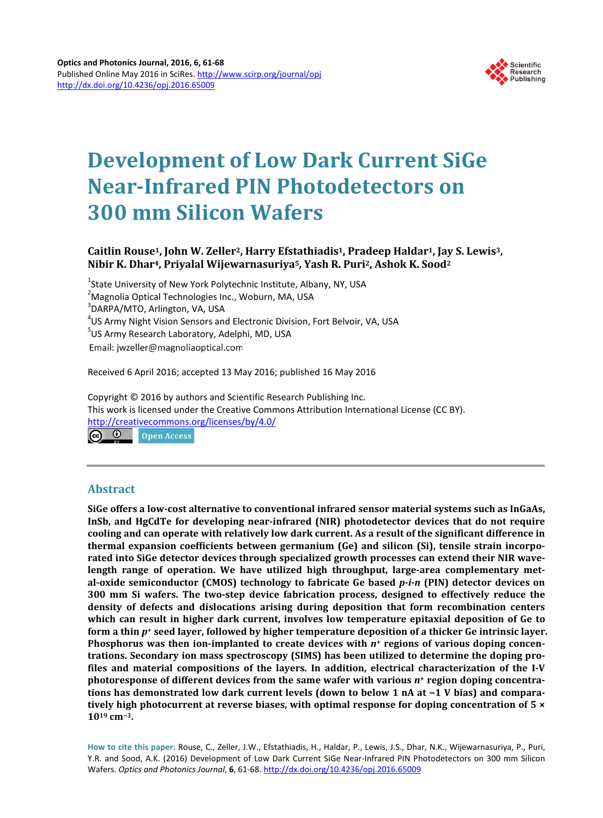

# **Development of Low Dark Current SiGe Near-Infrared PIN Photodetectors on 300 mm Silicon Wafers**

# **Caitlin Rouse1, John W. Zeller2, Harry Efstathiadis1, Pradeep Haldar1, Jay S. Lewis3, Nibir K. Dhar4, Priyalal Wijewarnasuriya5, Yash R. Puri2, Ashok K. Sood2**

<sup>1</sup>State University of New York Polytechnic Institute, Albany, NY, USA <sup>2</sup>Magnolia Optical Technologies Inc., Woburn, MA, USA 3 DARPA/MTO, Arlington, VA, USA <sup>4</sup>US Army Night Vision Sensors and Electronic Division, Fort Belvoir, VA, USA<br><sup>5</sup>US Army Besearsh Laberstony, Adelphi, MD, USA <sup>5</sup>US Army Research Laboratory, Adelphi, MD, USA Email: jwzeller@magnoliaoptical.com

Received 6 April 2016; accepted 13 May 2016; published 16 May 2016

Copyright © 2016 by authors and Scientific Research Publishing Inc. This work is licensed under the Creative Commons Attribution International License (CC BY). <http://creativecommons.org/licenses/by/4.0/>

ര 0 **Open Access** 

## **Abstract**

**SiGe offers a low-cost alternative to conventional infrared sensor material systems such as InGaAs, InSb, and HgCdTe for developing near-infrared (NIR) photodetector devices that do not require cooling and can operate with relatively low dark current. As a result of the significant difference in thermal expansion coefficients between germanium (Ge) and silicon (Si), tensile strain incorporated into SiGe detector devices through specialized growth processes can extend their NIR wavelength range of operation. We have utilized high throughput, large-area complementary metal-oxide semiconductor (CMOS) technology to fabricate Ge based** *p-i-n* **(PIN) detector devices on 300 mm Si wafers. The two-step device fabrication process, designed to effectively reduce the density of defects and dislocations arising during deposition that form recombination centers which can result in higher dark current, involves low temperature epitaxial deposition of Ge to form a thin** *p***<sup>+</sup> seed layer, followed by higher temperature deposition of a thicker Ge intrinsic layer. Phosphorus was then ion-implanted to create devices with** *n***<sup>+</sup> regions of various doping concentrations. Secondary ion mass spectroscopy (SIMS) has been utilized to determine the doping profiles and material compositions of the layers. In addition, electrical characterization of the I-V photoresponse of different devices from the same wafer with various** *n***<sup>+</sup> region doping concentrations has demonstrated low dark current levels (down to below 1 nA at −1 V bias) and comparatively high photocurrent at reverse biases, with optimal response for doping concentration of 5 × 1019 cm−3.**

**How to cite this paper:** Rouse, C., Zeller, J.W., Efstathiadis, H., Haldar, P., Lewis, J.S., Dhar, N.K., Wijewarnasuriya, P., Puri, Y.R. and Sood, A.K. (2016) Development of Low Dark Current SiGe Near-Infrared PIN Photodetectors on 300 mm Silicon Wafers. *Optics and Photonics Journal*, **6**, 61-68. <http://dx.doi.org/10.4236/opj.2016.65009>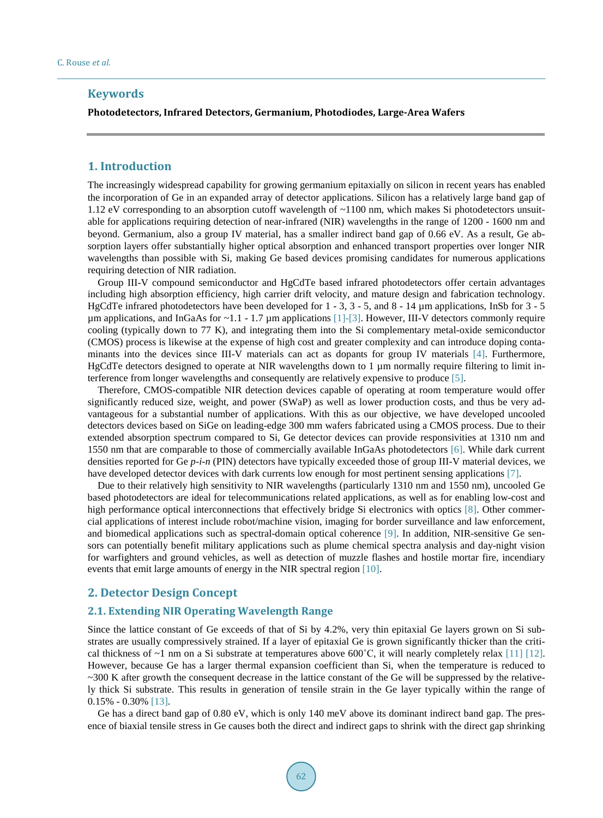## **Keywords**

## **Photodetectors, Infrared Detectors, Germanium, Photodiodes, Large-Area Wafers**

## **1. Introduction**

The increasingly widespread capability for growing germanium epitaxially on silicon in recent years has enabled the incorporation of Ge in an expanded array of detector applications. Silicon has a relatively large band gap of 1.12 eV corresponding to an absorption cutoff wavelength of ~1100 nm, which makes Si photodetectors unsuitable for applications requiring detection of near-infrared (NIR) wavelengths in the range of 1200 - 1600 nm and beyond. Germanium, also a group IV material, has a smaller indirect band gap of 0.66 eV. As a result, Ge absorption layers offer substantially higher optical absorption and enhanced transport properties over longer NIR wavelengths than possible with Si, making Ge based devices promising candidates for numerous applications requiring detection of NIR radiation.

Group III-V compound semiconductor and HgCdTe based infrared photodetectors offer certain advantages including high absorption efficiency, high carrier drift velocity, and mature design and fabrication technology. HgCdTe infrared photodetectors have been developed for 1 - 3, 3 - 5, and 8 - 14 µm applications, InSb for 3 - 5  $\mu$ m applications, and InGaAs for ~1.1 - 1.7  $\mu$ m applications [\[1\]](#page-6-0)[-\[3\].](#page-6-1) However, III-V detectors commonly require cooling (typically down to 77 K), and integrating them into the Si complementary metal-oxide semiconductor (CMOS) process is likewise at the expense of high cost and greater complexity and can introduce doping contaminants into the devices since III-V materials can act as dopants for group IV materials [\[4\].](#page-6-2) Furthermore, HgCdTe detectors designed to operate at NIR wavelengths down to 1 µm normally require filtering to limit interference from longer wavelengths and consequently are relatively expensive to produce [\[5\].](#page-6-3)

Therefore, CMOS-compatible NIR detection devices capable of operating at room temperature would offer significantly reduced size, weight, and power (SWaP) as well as lower production costs, and thus be very advantageous for a substantial number of applications. With this as our objective, we have developed uncooled detectors devices based on SiGe on leading-edge 300 mm wafers fabricated using a CMOS process. Due to their extended absorption spectrum compared to Si, Ge detector devices can provide responsivities at 1310 nm and 1550 nm that are comparable to those of commercially available InGaAs photodetectors [\[6\].](#page-6-4) While dark current densities reported for Ge *p-i-n* (PIN) detectors have typically exceeded those of group III-V material devices, we have developed detector devices with dark currents low enough for most pertinent sensing applications [\[7\].](#page-6-5)

Due to their relatively high sensitivity to NIR wavelengths (particularly 1310 nm and 1550 nm), uncooled Ge based photodetectors are ideal for telecommunications related applications, as well as for enabling low-cost and high performance optical interconnections that effectively bridge Si electronics with optics [\[8\].](#page-6-6) Other commercial applications of interest include robot/machine vision, imaging for border surveillance and law enforcement, and biomedical applications such as spectral-domain optical coherence [\[9\].](#page-6-7) In addition, NIR-sensitive Ge sensors can potentially benefit military applications such as plume chemical spectra analysis and day-night vision for warfighters and ground vehicles, as well as detection of muzzle flashes and hostile mortar fire, incendiary events that emit large amounts of energy in the NIR spectral region [\[10\].](#page-6-8)

## **2. Detector Design Concept**

#### **2.1. Extending NIR Operating Wavelength Range**

Since the lattice constant of Ge exceeds of that of Si by 4.2%, very thin epitaxial Ge layers grown on Si substrates are usually compressively strained. If a layer of epitaxial Ge is grown significantly thicker than the critical thickness of  $\sim$ 1 nm on a Si substrate at temperatures above 600°C, it will nearly completely relax [\[11\]](#page-6-9) [\[12\].](#page-6-10) However, because Ge has a larger thermal expansion coefficient than Si, when the temperature is reduced to ~300 K after growth the consequent decrease in the lattice constant of the Ge will be suppressed by the relatively thick Si substrate. This results in generation of tensile strain in the Ge layer typically within the range of 0.15% - 0.30% [\[13\].](#page-6-11)

Ge has a direct band gap of 0.80 eV, which is only 140 meV above its dominant indirect band gap. The presence of biaxial tensile stress in Ge causes both the direct and indirect gaps to shrink with the direct gap shrinking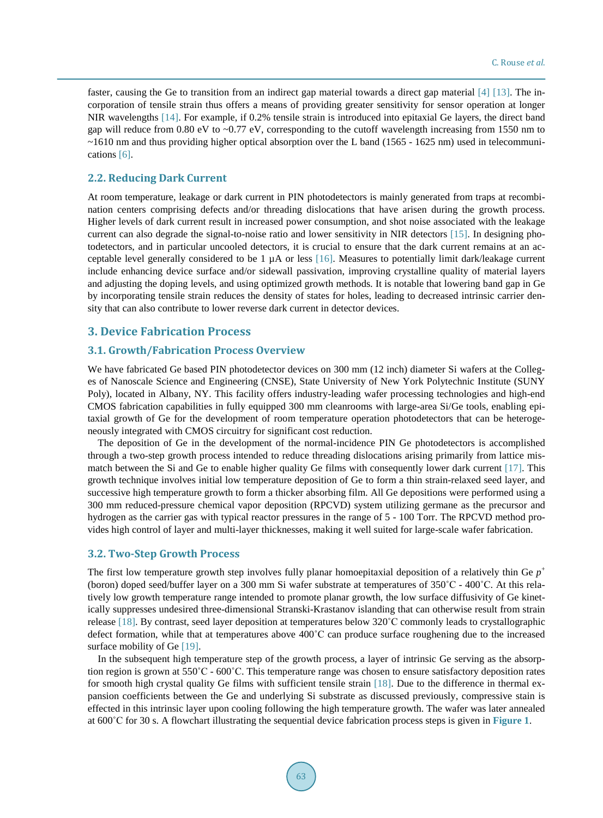faster, causing the Ge to transition from an indirect gap material towards a direct gap material [\[4\]](#page-6-2) [\[13\].](#page-6-11) The incorporation of tensile strain thus offers a means of providing greater sensitivity for sensor operation at longer NIR wavelengths [\[14\].](#page-6-12) For example, if 0.2% tensile strain is introduced into epitaxial Ge layers, the direct band gap will reduce from 0.80 eV to  $\sim$ 0.77 eV, corresponding to the cutoff wavelength increasing from 1550 nm to  $\sim$ 1610 nm and thus providing higher optical absorption over the L band (1565 - 1625 nm) used in telecommunications [\[6\].](#page-6-4)

## **2.2. Reducing Dark Current**

At room temperature, leakage or dark current in PIN photodetectors is mainly generated from traps at recombination centers comprising defects and/or threading dislocations that have arisen during the growth process. Higher levels of dark current result in increased power consumption, and shot noise associated with the leakage current can also degrade the signal-to-noise ratio and lower sensitivity in NIR detectors [\[15\].](#page-6-13) In designing photodetectors, and in particular uncooled detectors, it is crucial to ensure that the dark current remains at an acceptable level generally considered to be  $1 \mu A$  or less [\[16\].](#page-7-0) Measures to potentially limit dark/leakage current include enhancing device surface and/or sidewall passivation, improving crystalline quality of material layers and adjusting the doping levels, and using optimized growth methods. It is notable that lowering band gap in Ge by incorporating tensile strain reduces the density of states for holes, leading to decreased intrinsic carrier density that can also contribute to lower reverse dark current in detector devices.

## **3. Device Fabrication Process**

#### **3.1. Growth/Fabrication Process Overview**

We have fabricated Ge based PIN photodetector devices on 300 mm (12 inch) diameter Si wafers at the Colleges of Nanoscale Science and Engineering (CNSE), State University of New York Polytechnic Institute (SUNY Poly), located in Albany, NY. This facility offers industry-leading wafer processing technologies and high-end CMOS fabrication capabilities in fully equipped 300 mm cleanrooms with large-area Si/Ge tools, enabling epitaxial growth of Ge for the development of room temperature operation photodetectors that can be heterogeneously integrated with CMOS circuitry for significant cost reduction.

The deposition of Ge in the development of the normal-incidence PIN Ge photodetectors is accomplished through a two-step growth process intended to reduce threading dislocations arising primarily from lattice mismatch between the Si and Ge to enable higher quality Ge films with consequently lower dark current [\[17\].](#page-7-1) This growth technique involves initial low temperature deposition of Ge to form a thin strain-relaxed seed layer, and successive high temperature growth to form a thicker absorbing film. All Ge depositions were performed using a 300 mm reduced-pressure chemical vapor deposition (RPCVD) system utilizing germane as the precursor and hydrogen as the carrier gas with typical reactor pressures in the range of 5 - 100 Torr. The RPCVD method provides high control of layer and multi-layer thicknesses, making it well suited for large-scale wafer fabrication.

#### **3.2. Two-Step Growth Process**

The first low temperature growth step involves fully planar homoepitaxial deposition of a relatively thin Ge  $p^+$ (boron) doped seed/buffer layer on a 300 mm Si wafer substrate at temperatures of 350˚C - 400˚C. At this relatively low growth temperature range intended to promote planar growth, the low surface diffusivity of Ge kinetically suppresses undesired three-dimensional Stranski-Krastanov islanding that can otherwise result from strain release [\[18\].](#page-7-2) By contrast, seed layer deposition at temperatures below 320˚C commonly leads to crystallographic defect formation, while that at temperatures above 400˚C can produce surface roughening due to the increased surface mobility of Ge [\[19\].](#page-7-3)

In the subsequent high temperature step of the growth process, a layer of intrinsic Ge serving as the absorption region is grown at 550˚C - 600˚C. This temperature range was chosen to ensure satisfactory deposition rates for smooth high crystal quality Ge films with sufficient tensile strain [\[18\].](#page-7-2) Due to the difference in thermal expansion coefficients between the Ge and underlying Si substrate as discussed previously, compressive stain is effected in this intrinsic layer upon cooling following the high temperature growth. The wafer was later annealed at 600˚C for 30 s. A flowchart illustrating the sequential device fabrication process steps is given in **[Figure 1](#page-3-0)**.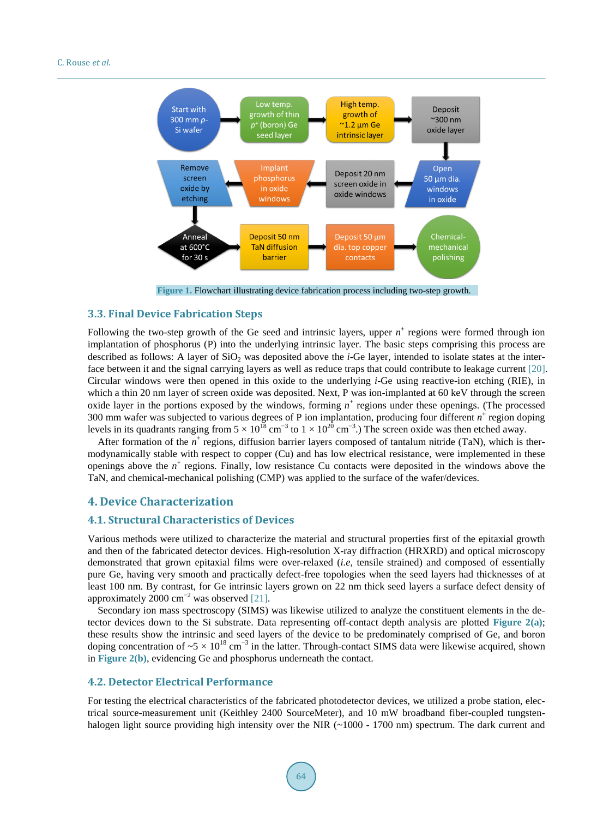<span id="page-3-0"></span>

**Figure 1.** Flowchart illustrating device fabrication process including two-step growth.

## **3.3. Final Device Fabrication Steps**

Following the two-step growth of the Ge seed and intrinsic layers, upper  $n^+$  regions were formed through ion implantation of phosphorus (P) into the underlying intrinsic layer. The basic steps comprising this process are described as follows: A layer of SiO<sub>2</sub> was deposited above the *i*-Ge layer, intended to isolate states at the interface between it and the signal carrying layers as well as reduce traps that could contribute to leakage current [\[20\].](#page-7-4) Circular windows were then opened in this oxide to the underlying *i*-Ge using reactive-ion etching (RIE), in which a thin 20 nm layer of screen oxide was deposited. Next, P was ion-implanted at 60 keV through the screen oxide layer in the portions exposed by the windows, forming  $n^+$  regions under these openings. (The processed 300 mm wafer was subjected to various degrees of P ion implantation, producing four different *n*<sup>+</sup> region doping levels in its quadrants ranging from  $5 \times 10^{18}$  cm<sup>-3</sup> to  $1 \times 10^{20}$  cm<sup>-3</sup>.) The screen oxide was then etched away.

After formation of the  $n^+$  regions, diffusion barrier layers composed of tantalum nitride (TaN), which is thermodynamically stable with respect to copper (Cu) and has low electrical resistance, were implemented in these openings above the  $n^+$  regions. Finally, low resistance Cu contacts were deposited in the windows above the TaN, and chemical-mechanical polishing (CMP) was applied to the surface of the wafer/devices.

## **4. Device Characterization**

#### **4.1. Structural Characteristics of Devices**

Various methods were utilized to characterize the material and structural properties first of the epitaxial growth and then of the fabricated detector devices. High-resolution X-ray diffraction (HRXRD) and optical microscopy demonstrated that grown epitaxial films were over-relaxed (*i.e*, tensile strained) and composed of essentially pure Ge, having very smooth and practically defect-free topologies when the seed layers had thicknesses of at least 100 nm. By contrast, for Ge intrinsic layers grown on 22 nm thick seed layers a surface defect density of approximately 2000 cm<sup>-2</sup> was observed [\[21\].](#page-7-5)

Secondary ion mass spectroscopy (SIMS) was likewise utilized to analyze the constituent elements in the detector devices down to the Si substrate. Data representing off-contact depth analysis are plotted **[Figure 2\(a\)](#page-4-0)**; these results show the intrinsic and seed layers of the device to be predominately comprised of Ge, and boron doping concentration of  $\sim 5 \times 10^{18}$  cm<sup>-3</sup> in the latter. Through-contact SIMS data were likewise acquired, shown in **[Figure 2\(b\)](#page-4-0)**, evidencing Ge and phosphorus underneath the contact.

## **4.2. Detector Electrical Performance**

For testing the electrical characteristics of the fabricated photodetector devices, we utilized a probe station, electrical source-measurement unit (Keithley 2400 SourceMeter), and 10 mW broadband fiber-coupled tungstenhalogen light source providing high intensity over the NIR (~1000 - 1700 nm) spectrum. The dark current and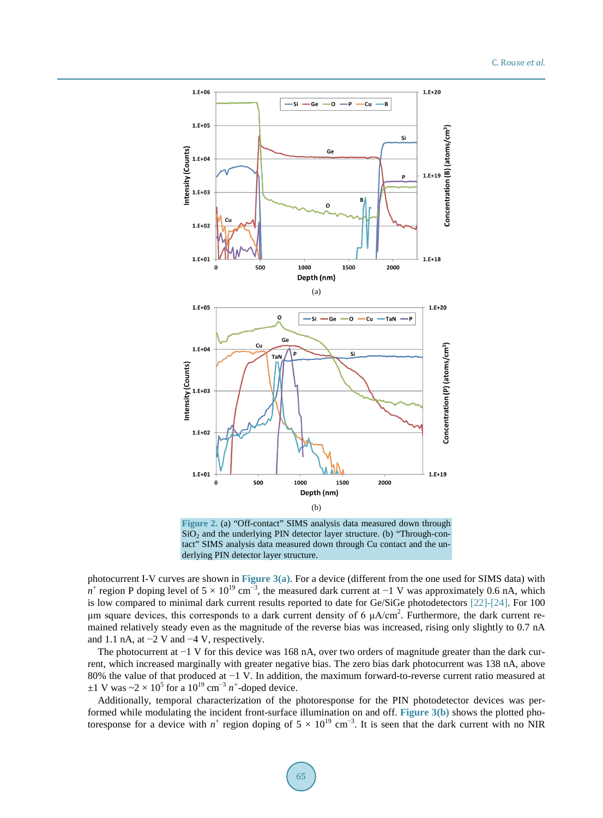<span id="page-4-0"></span>

**Figure 2.** (a) "Off-contact" SIMS analysis data measured down through  $SiO<sub>2</sub>$  and the underlying PIN detector layer structure. (b) "Through-contact" SIMS analysis data measured down through Cu contact and the underlying PIN detector layer structure.

photocurrent I-V curves are shown in **[Figure 3\(a\)](#page-5-0)**. For a device (different from the one used for SIMS data) with *n*<sup>+</sup> region P doping level of  $5 \times 10^{19}$  cm<sup>-3</sup>, the measured dark current at −1 V was approximately 0.6 nA, which is low compared to minimal dark current results reported to date for Ge/SiGe photodetectors [\[22\]](#page-7-6)[-\[24\].](#page-7-7) For 100 μm square devices, this corresponds to a dark current density of 6  $\mu A/cm^2$ . Furthermore, the dark current remained relatively steady even as the magnitude of the reverse bias was increased, rising only slightly to 0.7 nA and 1.1 nA, at  $-2$  V and  $-4$  V, respectively.

The photocurrent at −1 V for this device was 168 nA, over two orders of magnitude greater than the dark current, which increased marginally with greater negative bias. The zero bias dark photocurrent was 138 nA, above 80% the value of that produced at −1 V. In addition, the maximum forward-to-reverse current ratio measured at  $\pm 1$  V was ~2 × 10<sup>5</sup> for a 10<sup>19</sup> cm<sup>-3</sup> *n*<sup>+</sup>-doped device.

Additionally, temporal characterization of the photoresponse for the PIN photodetector devices was performed while modulating the incident front-surface illumination on and off. **[Figure 3\(b\)](#page-5-0)** shows the plotted photoresponse for a device with  $n^+$  region doping of  $5 \times 10^{19}$  cm<sup>-3</sup>. It is seen that the dark current with no NIR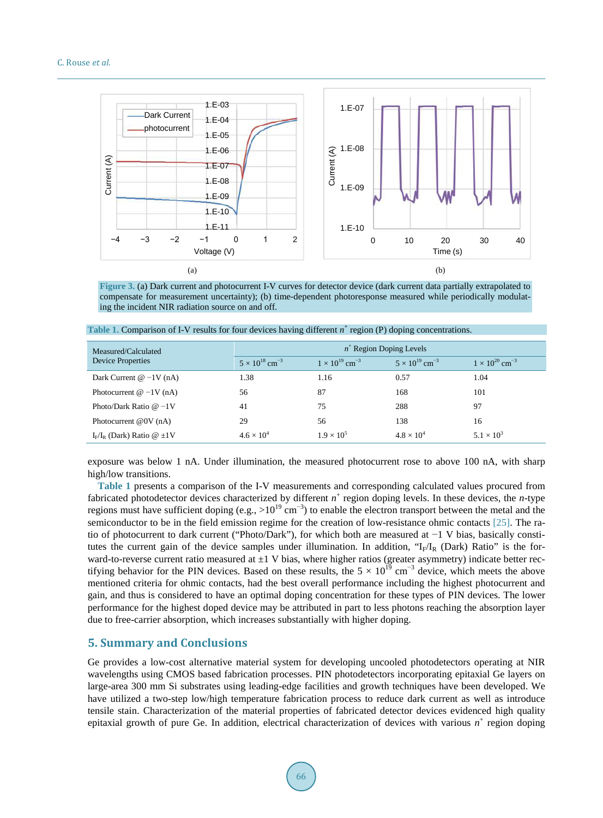<span id="page-5-0"></span>

**Figure 3.** (a) Dark current and photocurrent I-V curves for detector device (dark current data partially extrapolated to compensate for measurement uncertainty); (b) time-dependent photoresponse measured while periodically modulating the incident NIR radiation source on and off.

| Measured/Calculated<br>Device Properties | $n^+$ Region Doping Levels          |                                     |                                     |                                     |
|------------------------------------------|-------------------------------------|-------------------------------------|-------------------------------------|-------------------------------------|
|                                          | $5 \times 10^{18}$ cm <sup>-3</sup> | $1 \times 10^{19}$ cm <sup>-3</sup> | $5 \times 10^{19}$ cm <sup>-3</sup> | $1 \times 10^{20}$ cm <sup>-3</sup> |
| Dark Current $@ -1V(nA)$                 | 1.38                                | 1.16                                | 0.57                                | 1.04                                |
| Photocurrent $@ -1V(nA)$                 | 56                                  | 87                                  | 168                                 | 101                                 |
| Photo/Dark Ratio $@ -1V$                 | 41                                  | 75                                  | 288                                 | 97                                  |
| Photocurrent $@0V(nA)$                   | 29                                  | 56                                  | 138                                 | 16                                  |
| $I_F/I_R$ (Dark) Ratio @ $\pm 1$ V       | $4.6 \times 10^{4}$                 | $1.9 \times 10^{5}$                 | $4.8 \times 10^{4}$                 | $5.1 \times 10^{3}$                 |

<span id="page-5-1"></span>Table 1. Comparison of I-V results for four devices having different *n*<sup>+</sup> region (P) doping concentrations.

exposure was below 1 nA. Under illumination, the measured photocurrent rose to above 100 nA, with sharp high/low transitions.

**[Table 1](#page-5-1)** presents a comparison of the I-V measurements and corresponding calculated values procured from fabricated photodetector devices characterized by different *n*<sup>+</sup> region doping levels. In these devices, the *n*-type regions must have sufficient doping (e.g., >10<sup>19</sup> cm<sup>-3</sup>) to enable the electron transport between the metal and the semiconductor to be in the field emission regime for the creation of low-resistance ohmic contacts [\[25\].](#page-7-8) The ratio of photocurrent to dark current ("Photo/Dark"), for which both are measured at −1 V bias, basically constitutes the current gain of the device samples under illumination. In addition, " $I_F/I_R$  (Dark) Ratio" is the forward-to-reverse current ratio measured at  $\pm 1$  V bias, where higher ratios (greater asymmetry) indicate better rectifying behavior for the PIN devices. Based on these results, the  $5 \times 10^{19}$  cm<sup>-3</sup> device, which meets the above mentioned criteria for ohmic contacts, had the best overall performance including the highest photocurrent and gain, and thus is considered to have an optimal doping concentration for these types of PIN devices. The lower performance for the highest doped device may be attributed in part to less photons reaching the absorption layer due to free-carrier absorption, which increases substantially with higher doping.

## **5. Summary and Conclusions**

Ge provides a low-cost alternative material system for developing uncooled photodetectors operating at NIR wavelengths using CMOS based fabrication processes. PIN photodetectors incorporating epitaxial Ge layers on large-area 300 mm Si substrates using leading-edge facilities and growth techniques have been developed. We have utilized a two-step low/high temperature fabrication process to reduce dark current as well as introduce tensile stain. Characterization of the material properties of fabricated detector devices evidenced high quality epitaxial growth of pure Ge. In addition, electrical characterization of devices with various  $n^+$  region doping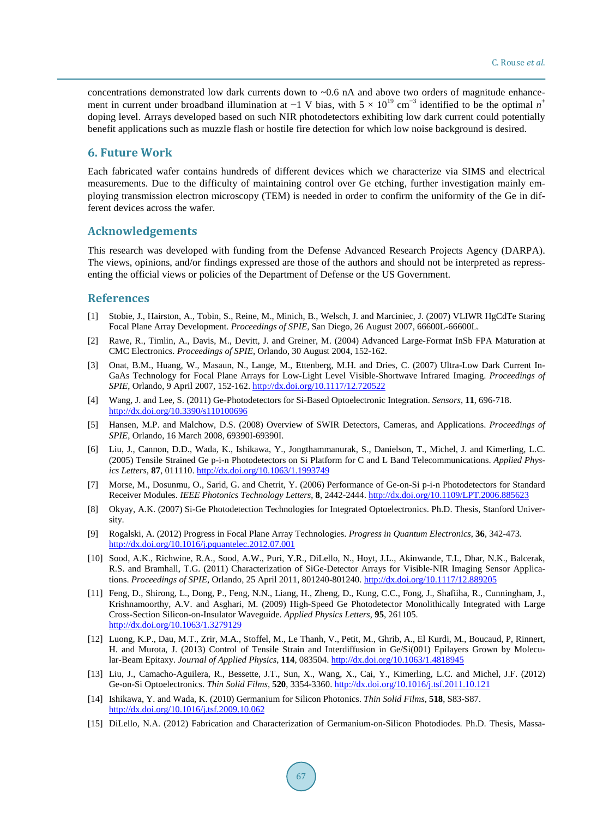concentrations demonstrated low dark currents down to  $\sim 0.6$  nA and above two orders of magnitude enhancement in current under broadband illumination at  $-1$  V bias, with  $5 \times 10^{19}$  cm<sup>-3</sup> identified to be the optimal  $n^+$ doping level. Arrays developed based on such NIR photodetectors exhibiting low dark current could potentially benefit applications such as muzzle flash or hostile fire detection for which low noise background is desired.

## **6. Future Work**

Each fabricated wafer contains hundreds of different devices which we characterize via SIMS and electrical measurements. Due to the difficulty of maintaining control over Ge etching, further investigation mainly employing transmission electron microscopy (TEM) is needed in order to confirm the uniformity of the Ge in different devices across the wafer.

## **Acknowledgements**

This research was developed with funding from the Defense Advanced Research Projects Agency (DARPA). The views, opinions, and/or findings expressed are those of the authors and should not be interpreted as repressenting the official views or policies of the Department of Defense or the US Government.

#### **References**

- <span id="page-6-0"></span>[1] Stobie, J., Hairston, A., Tobin, S., Reine, M., Minich, B., Welsch, J. and Marciniec, J. (2007) VLIWR HgCdTe Staring Focal Plane Array Development. *Proceedings of SPIE*, San Diego, 26 August 2007, 66600L-66600L.
- [2] Rawe, R., Timlin, A., Davis, M., Devitt, J. and Greiner, M. (2004) Advanced Large-Format InSb FPA Maturation at CMC Electronics. *Proceedings of SPIE*, Orlando, 30 August 2004, 152-162.
- <span id="page-6-1"></span>[3] Onat, B.M., Huang, W., Masaun, N., Lange, M., Ettenberg, M.H. and Dries, C. (2007) Ultra-Low Dark Current In-GaAs Technology for Focal Plane Arrays for Low-Light Level Visible-Shortwave Infrared Imaging. *Proceedings of SPIE*, Orlando, 9 April 2007, 152-162. <http://dx.doi.org/10.1117/12.720522>
- <span id="page-6-2"></span>[4] Wang, J. and Lee, S. (2011) Ge-Photodetectors for Si-Based Optoelectronic Integration. *Sensors*, **11**, 696-718. <http://dx.doi.org/10.3390/s110100696>
- <span id="page-6-3"></span>[5] Hansen, M.P. and Malchow, D.S. (2008) Overview of SWIR Detectors, Cameras, and Applications. *Proceedings of SPIE*, Orlando, 16 March 2008, 69390I-69390I.
- <span id="page-6-4"></span>[6] Liu, J., Cannon, D.D., Wada, K., Ishikawa, Y., Jongthammanurak, S., Danielson, T., Michel, J. and Kimerling, L.C. (2005) Tensile Strained Ge p-i-n Photodetectors on Si Platform for C and L Band Telecommunications. *Applied Physics Letters*, **87**, 011110. <http://dx.doi.org/10.1063/1.1993749>
- <span id="page-6-5"></span>[7] Morse, M., Dosunmu, O., Sarid, G. and Chetrit, Y. (2006) Performance of Ge-on-Si p-i-n Photodetectors for Standard Receiver Modules. *IEEE Photonics Technology Letters*, **8**, 2442-2444. <http://dx.doi.org/10.1109/LPT.2006.885623>
- <span id="page-6-6"></span>[8] Okyay, A.K. (2007) Si-Ge Photodetection Technologies for Integrated Optoelectronics. Ph.D. Thesis, Stanford University.
- <span id="page-6-7"></span>[9] Rogalski, A. (2012) Progress in Focal Plane Array Technologies. *Progress in Quantum Electronics*, **36**, 342-473. <http://dx.doi.org/10.1016/j.pquantelec.2012.07.001>
- <span id="page-6-8"></span>[10] Sood, A.K., Richwine, R.A., Sood, A.W., Puri, Y.R., DiLello, N., Hoyt, J.L., Akinwande, T.I., Dhar, N.K., Balcerak, R.S. and Bramhall, T.G. (2011) Characterization of SiGe-Detector Arrays for Visible-NIR Imaging Sensor Applications. *Proceedings of SPIE*, Orlando, 25 April 2011, 801240-801240. <http://dx.doi.org/10.1117/12.889205>
- <span id="page-6-9"></span>[11] Feng, D., Shirong, L., Dong, P., Feng, N.N., Liang, H., Zheng, D., Kung, C.C., Fong, J., Shafiiha, R., Cunningham, J., Krishnamoorthy, A.V. and Asghari, M. (2009) High-Speed Ge Photodetector Monolithically Integrated with Large Cross-Section Silicon-on-Insulator Waveguide. *Applied Physics Letters*, **95**, 261105. <http://dx.doi.org/10.1063/1.3279129>
- <span id="page-6-10"></span>[12] Luong, K.P., Dau, M.T., Zrir, M.A., Stoffel, M., Le Thanh, V., Petit, M., Ghrib, A., El Kurdi, M., Boucaud, P, Rinnert, H. and Murota, J. (2013) Control of Tensile Strain and Interdiffusion in Ge/Si(001) Epilayers Grown by Molecular-Beam Epitaxy. *Journal of Applied Physics*, **114**, 083504. <http://dx.doi.org/10.1063/1.4818945>
- <span id="page-6-11"></span>[13] Liu, J., Camacho-Aguilera, R., Bessette, J.T., Sun, X., Wang, X., Cai, Y., Kimerling, L.C. and Michel, J.F. (2012) Ge-on-Si Optoelectronics. *Thin Solid Films*, **520**, 3354-3360. <http://dx.doi.org/10.1016/j.tsf.2011.10.121>
- <span id="page-6-12"></span>[14] Ishikawa, Y. and Wada, K. (2010) Germanium for Silicon Photonics. *Thin Solid Films*, **518**, S83-S87. <http://dx.doi.org/10.1016/j.tsf.2009.10.062>
- <span id="page-6-13"></span>[15] DiLello, N.A. (2012) Fabrication and Characterization of Germanium-on-Silicon Photodiodes. Ph.D. Thesis, Massa-